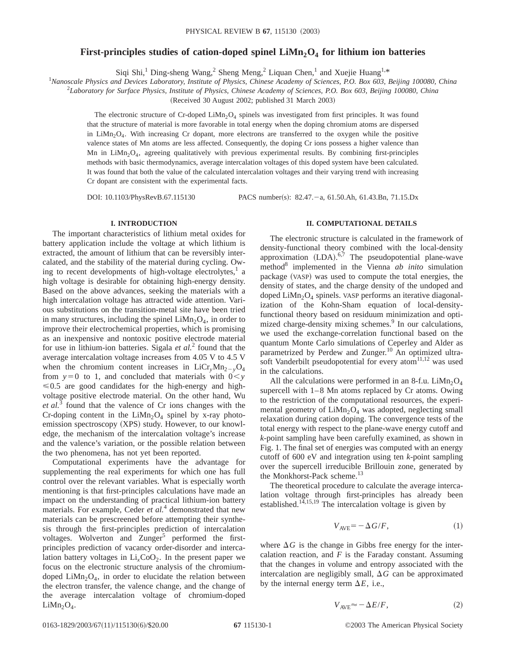# **First-principles studies of cation-doped spinel LiMn<sub>2</sub>O<sub>4</sub> for lithium ion batteries**

Siqi Shi,<sup>1</sup> Ding-sheng Wang,<sup>2</sup> Sheng Meng,<sup>2</sup> Liquan Chen,<sup>1</sup> and Xuejie Huang<sup>1,\*</sup>

*Nanoscale Physics and Devices Laboratory, Institute of Physics, Chinese Academy of Sciences, P.O. Box 603, Beijing 100080, China*

2 *Laboratory for Surface Physics, Institute of Physics, Chinese Academy of Sciences, P.O. Box 603, Beijing 100080, China*

(Received 30 August 2002; published 31 March 2003)

The electronic structure of  $Cr$ -doped  $Lim<sub>2</sub>O<sub>4</sub>$  spinels was investigated from first principles. It was found that the structure of material is more favorable in total energy when the doping chromium atoms are dispersed in  $LiMn<sub>2</sub>O<sub>4</sub>$ . With increasing Cr dopant, more electrons are transferred to the oxygen while the positive valence states of Mn atoms are less affected. Consequently, the doping Cr ions possess a higher valence than Mn in LiMn<sub>2</sub>O<sub>4</sub>, agreeing qualitatively with previous experimental results. By combining first-principles methods with basic thermodynamics, average intercalation voltages of this doped system have been calculated. It was found that both the value of the calculated intercalation voltages and their varying trend with increasing Cr dopant are consistent with the experimental facts.

DOI: 10.1103/PhysRevB.67.115130 PACS number(s): 82.47. - a, 61.50.Ah, 61.43.Bn, 71.15.Dx

# **I. INTRODUCTION**

The important characteristics of lithium metal oxides for battery application include the voltage at which lithium is extracted, the amount of lithium that can be reversibly intercalated, and the stability of the material during cycling. Owing to recent developments of high-voltage electrolytes, $\frac{1}{1}$  a high voltage is desirable for obtaining high-energy density. Based on the above advances, seeking the materials with a high intercalation voltage has attracted wide attention. Various substitutions on the transition-metal site have been tried in many structures, including the spinel  $LiMn<sub>2</sub>O<sub>4</sub>$ , in order to improve their electrochemical properties, which is promising as an inexpensive and nontoxic positive electrode material for use in lithium-ion batteries. Sigala *et al.*<sup>2</sup> found that the average intercalation voltage increases from 4.05 V to 4.5 V when the chromium content increases in  $LiCr_{\nu}Mn_{2-v}O_4$ from  $y=0$  to 1, and concluded that materials with  $0 < y$  $\leq 0.5$  are good candidates for the high-energy and highvoltage positive electrode material. On the other hand, Wu *et al.*<sup>3</sup> found that the valence of Cr ions changes with the Cr-doping content in the  $LiMn<sub>2</sub>O<sub>4</sub>$  spinel by x-ray photoemission spectroscopy (XPS) study. However, to our knowledge, the mechanism of the intercalation voltage's increase and the valence's variation, or the possible relation between the two phenomena, has not yet been reported.

Computational experiments have the advantage for supplementing the real experiments for which one has full control over the relevant variables. What is especially worth mentioning is that first-principles calculations have made an impact on the understanding of practical lithium-ion battery materials. For example, Ceder *et al.*<sup>4</sup> demonstrated that new materials can be prescreened before attempting their synthesis through the first-principles prediction of intercalation voltages. Wolverton and  $Zunger<sup>5</sup>$  performed the firstprinciples prediction of vacancy order-disorder and intercalation battery voltages in  $Li<sub>x</sub>CoO<sub>2</sub>$ . In the present paper we focus on the electronic structure analysis of the chromiumdoped  $LiMn<sub>2</sub>O<sub>4</sub>$ , in order to elucidate the relation between the electron transfer, the valence change, and the change of the average intercalation voltage of chromium-doped  $LiMn<sub>2</sub>O<sub>4</sub>$ .

# **II. COMPUTATIONAL DETAILS**

The electronic structure is calculated in the framework of density-functional theory combined with the local-density approximation  $(LDA).<sup>6,7</sup>$  The pseudopotential plane-wave method8 implemented in the Vienna *ab inito* simulation package (VASP) was used to compute the total energies, the density of states, and the charge density of the undoped and doped  $Lim<sub>2</sub>O<sub>4</sub>$  spinels. VASP performs an iterative diagonalization of the Kohn-Sham equation of local-densityfunctional theory based on residuum minimization and optimized charge-density mixing schemes.<sup>9</sup> In our calculations, we used the exchange-correlation functional based on the quantum Monte Carlo simulations of Ceperley and Alder as parametrized by Perdew and Zunger.<sup>10</sup> An optimized ultrasoft Vanderbilt pseudopotential for every atom<sup>11,12</sup> was used in the calculations.

All the calculations were performed in an 8-f.u.  $LiMn<sub>2</sub>O<sub>4</sub>$ supercell with 1–8 Mn atoms replaced by Cr atoms. Owing to the restriction of the computational resources, the experimental geometry of  $LiMn<sub>2</sub>O<sub>4</sub>$  was adopted, neglecting small relaxation during cation doping. The convergence tests of the total energy with respect to the plane-wave energy cutoff and *k*-point sampling have been carefully examined, as shown in Fig. 1. The final set of energies was computed with an energy cutoff of 600 eV and integration using ten *k*-point sampling over the supercell irreducible Brillouin zone, generated by the Monkhorst-Pack scheme.<sup>13</sup>

The theoretical procedure to calculate the average intercalation voltage through first-principles has already been established.<sup>14,15,19</sup> The intercalation voltage is given by

$$
V_{\text{AVE}} = -\Delta G/F,\tag{1}
$$

where  $\Delta G$  is the change in Gibbs free energy for the intercalation reaction, and  $F$  is the Faraday constant. Assuming that the changes in volume and entropy associated with the intercalation are negligibly small,  $\Delta G$  can be approximated by the internal energy term  $\Delta E$ , i.e.,

$$
V_{\text{AVE}} \approx -\Delta E/F,\tag{2}
$$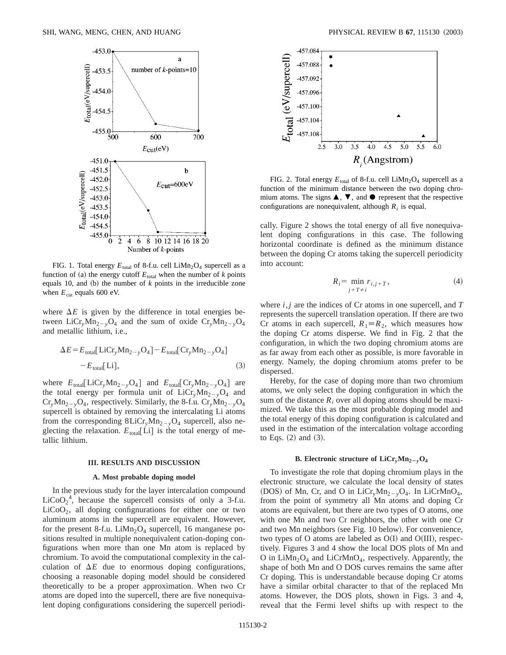

FIG. 1. Total energy  $E_{total}$  of 8-f.u. cell  $Lim<sub>2</sub>O<sub>4</sub>$  supercell as a function of (a) the energy cutoff  $E_{total}$  when the number of *k* points equals 10, and  $(b)$  the number of  $k$  points in the irreducible zone when  $E_{\text{cut}}$  equals 600 eV.

where  $\Delta E$  is given by the difference in total energies between LiCr<sub>y</sub>Mn<sub>2-y</sub>O<sub>4</sub> and the sum of oxide Cr<sub>y</sub>Mn<sub>2-y</sub>O<sub>4</sub> and metallic lithium, i.e.,

$$
\Delta E = E_{\text{total}}[\text{LiCr}_{y}\text{Mn}_{2-y}\text{O}_{4}] - E_{\text{total}}[\text{Cr}_{y}\text{Mn}_{2-y}\text{O}_{4}]
$$
  
- E<sub>total</sub>[Li], (3)

where  $E_{\text{total}}[LiCr_vMn_{2-v}O_4]$  and  $E_{\text{total}}[Cr_vMn_{2-v}O_4]$  are the total energy per formula unit of  $LiCr_{v}Mn_{2v}O_4$  and  $Cr_vMn_{2-v}O_4$ , respectively. Similarly, the 8-f.u.  $Cr_vMn_{2-v}O_4$ supercell is obtained by removing the intercalating Li atoms from the corresponding  $8LiCr_vMn_{2-v}O_4$  supercell, also neglecting the relaxation.  $E_{\text{total}}[Li]$  is the total energy of metallic lithium.

#### **III. RESULTS AND DISCUSSION**

## **A. Most probable doping model**

In the previous study for the layer intercalation compound LiCoO<sub>2</sub><sup>4</sup>, because the supercell consists of only a 3-f.u.  $LiCoO<sub>2</sub>$ , all doping confignurations for either one or two aluminum atoms in the supercell are equivalent. However, for the present 8-f.u.  $LiMn<sub>2</sub>O<sub>4</sub>$  supercell, 16 manganese positions resulted in multiple nonequivalent cation-doping configurations when more than one Mn atom is replaced by chromium. To avoid the computational complexity in the calculation of  $\Delta E$  due to enormous doping configurations, choosing a reasonable doping model should be considered theoretically to be a proper approximation. When two Cr atoms are doped into the supercell, there are five nonequivalent doping configurations considering the supercell periodi-



FIG. 2. Total energy  $E_{\text{total}}$  of 8-f.u. cell LiMn<sub>2</sub>O<sub>4</sub> supercell as a function of the minimum distance between the two doping chromium atoms. The signs  $\blacktriangle$ ,  $\nabla$ , and  $\blacklozenge$  represent that the respective configurations are nonequivalent, although  $R_i$  is equal.

cally. Figure 2 shows the total energy of all five nonequivalent doping configurations in this case. The following horizontal coordinate is defined as the minimum distance between the doping Cr atoms taking the supercell periodicity into account:

$$
R_i = \min_{j+T \neq i} r_{i,j+T},\tag{4}
$$

where *i*, *j* are the indices of Cr atoms in one supercell, and *T* represents the supercell translation operation. If there are two Cr atoms in each supercell,  $R_1 \equiv R_2$ , which measures how the doping Cr atoms disperse. We find in Fig. 2 that the configuration, in which the two doping chromium atoms are as far away from each other as possible, is more favorable in energy. Namely, the doping chromium atoms prefer to be dispersed.

Hereby, for the case of doping more than two chromium atoms, we only select the doping configuration in which the sum of the distance  $R_i$  over all doping atoms should be maximized. We take this as the most probable doping model and the total energy of this doping configuration is calculated and used in the estimation of the intercalation voltage according to Eqs.  $(2)$  and  $(3)$ .

## **B.** Electronic structure of  $\text{LiCr}_{y}\text{Mn}_{2-y}\text{O}_{4}$

To investigate the role that doping chromium plays in the electronic structure, we calculate the local density of states (DOS) of Mn, Cr, and O in LiCr<sub>y</sub>Mn<sub>2-y</sub>O<sub>4</sub>. In LiCrMnO<sub>4</sub>, from the point of symmetry all Mn atoms and doping Cr atoms are equivalent, but there are two types of O atoms, one with one Mn and two Cr neighbors, the other with one Cr and two Mn neighbors (see Fig. 10 below). For convenience, two types of O atoms are labeled as  $O(I)$  and  $O(III)$ , respectively. Figures 3 and 4 show the local DOS plots of Mn and O in  $LiMn<sub>2</sub>O<sub>4</sub>$  and  $LiCrMnO<sub>4</sub>$ , respectively. Apparently, the shape of both Mn and O DOS curves remains the same after Cr doping. This is understandable because doping Cr atoms have a similar orbital character to that of the replaced Mn atoms. However, the DOS plots, shown in Figs. 3 and 4, reveal that the Fermi level shifts up with respect to the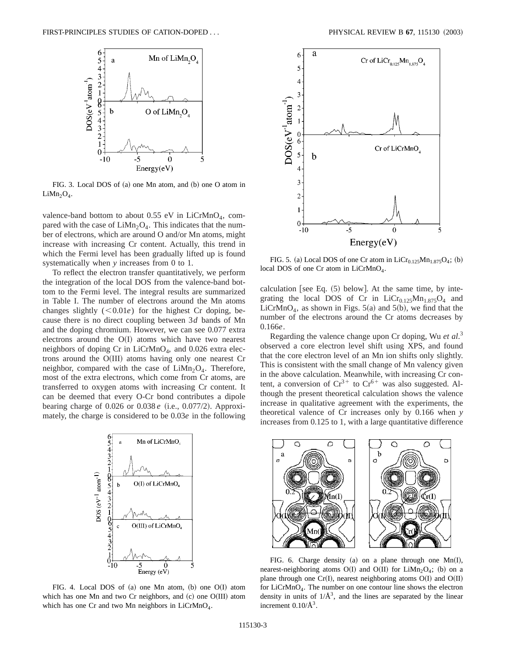

FIG. 3. Local DOS of  $(a)$  one Mn atom, and  $(b)$  one O atom in  $LiMn<sub>2</sub>O<sub>4</sub>$ .

valence-band bottom to about  $0.55$  eV in LiCrMnO<sub>4</sub>, compared with the case of  $LiMn<sub>2</sub>O<sub>4</sub>$ . This indicates that the number of electrons, which are around O and/or Mn atoms, might increase with increasing Cr content. Actually, this trend in which the Fermi level has been gradually lifted up is found systematically when *y* increases from 0 to 1.

To reflect the electron transfer quantitatively, we perform the integration of the local DOS from the valence-band bottom to the Fermi level. The integral results are summarized in Table I. The number of electrons around the Mn atoms changes slightly  $(<0.01e$ ) for the highest Cr doping, because there is no direct coupling between 3*d* bands of Mn and the doping chromium. However, we can see 0.077 extra electrons around the  $O(I)$  atoms which have two nearest neighbors of doping Cr in LiCrMnO<sub>4</sub>, and 0.026 extra electrons around the  $O(III)$  atoms having only one nearest Cr neighbor, compared with the case of  $LiMn<sub>2</sub>O<sub>4</sub>$ . Therefore, most of the extra electrons, which come from Cr atoms, are transferred to oxygen atoms with increasing Cr content. It can be deemed that every O-Cr bond contributes a dipole bearing charge of 0.026 or 0.038 *e* (i.e., 0.077/2). Approximately, the charge is considered to be 0.03*e* in the following



FIG. 4. Local DOS of  $(a)$  one Mn atom,  $(b)$  one O $(I)$  atom which has one Mn and two Cr neighbors, and (c) one O(III) atom which has one Cr and two Mn neighbors in LiCrMnO<sub>4</sub>.



FIG. 5. (a) Local DOS of one Cr atom in  $LiCr_{0.125}Mn_{1.875}O_4$ ; (b) local DOS of one Cr atom in LiCrMnO<sub>4</sub>.

calculation [see Eq.  $(5)$  below]. At the same time, by integrating the local DOS of Cr in  $LiCr_{0.125}Mn_{1.875}O_4$  and LiCrMnO<sub>4</sub>, as shown in Figs.  $5(a)$  and  $5(b)$ , we find that the number of the electrons around the Cr atoms decreases by 0.166*e*.

Regarding the valence change upon Cr doping, Wu *et al*. 3 observed a core electron level shift using XPS, and found that the core electron level of an Mn ion shifts only slightly. This is consistent with the small change of Mn valency given in the above calculation. Meanwhile, with increasing Cr content, a conversion of  $Cr^{3+}$  to  $Cr^{6+}$  was also suggested. Although the present theoretical calculation shows the valence increase in qualitative agreement with the experiments, the theoretical valence of Cr increases only by 0.166 when *y* increases from 0.125 to 1, with a large quantitative difference



FIG. 6. Charge density (a) on a plane through one  $Mn(I)$ , nearest-neighboring atoms O(I) and O(II) for LiMn<sub>2</sub>O<sub>4</sub>; (b) on a plane through one Cr(I), nearest neighboring atoms  $O(I)$  and  $O(II)$ for LiCrMnO4. The number on one contour line shows the electron density in units of  $1/\AA^3$ , and the lines are separated by the linear increment  $0.10/\text{\AA}^3$ .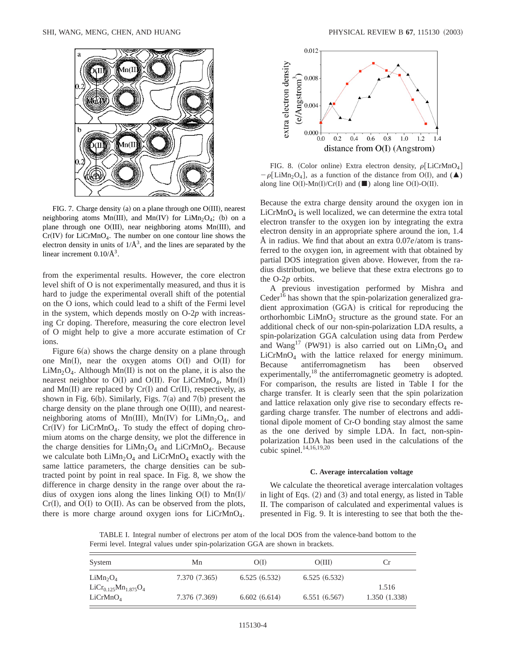

FIG. 7. Charge density (a) on a plane through one  $O(III)$ , nearest neighboring atoms Mn(III), and Mn(IV) for LiMn<sub>2</sub>O<sub>4</sub>; (b) on a plane through one  $O(HI)$ , near neighboring atoms  $Mn(HI)$ , and  $Cr(IV)$  for LiCrMnO<sub>4</sub>. The number on one contour line shows the electron density in units of  $1/\mathring{A}^3$ , and the lines are separated by the linear increment  $0.10/\text{\AA}^3$ .

from the experimental results. However, the core electron level shift of O is not experimentally measured, and thus it is hard to judge the experimental overall shift of the potential on the O ions, which could lead to a shift of the Fermi level in the system, which depends mostly on O-2*p* with increasing Cr doping. Therefore, measuring the core electron level of O might help to give a more accurate estimation of Cr ions.

Figure  $6(a)$  shows the charge density on a plane through one  $Mn(I)$ , near the oxygen atoms  $O(I)$  and  $O(II)$  for LiMn<sub>2</sub>O<sub>4</sub>. Although Mn(II) is not on the plane, it is also the nearest neighbor to  $O(I)$  and  $O(II)$ . For LiCrMnO<sub>4</sub>, Mn(I) and  $Mn(II)$  are replaced by  $Cr(I)$  and  $Cr(II)$ , respectively, as shown in Fig.  $6(b)$ . Similarly, Figs. 7(a) and 7(b) present the charge density on the plane through one  $O(HI)$ , and nearestneighboring atoms of Mn(III), Mn(IV) for LiMn<sub>2</sub>O<sub>4</sub>, and  $Cr(IV)$  for LiCrMnO<sub>4</sub>. To study the effect of doping chromium atoms on the charge density, we plot the difference in the charge densities for  $LiMn_2O_4$  and  $LiCrMnO_4$ . Because we calculate both  $LiMn<sub>2</sub>O<sub>4</sub>$  and  $LiCrMnO<sub>4</sub>$  exactly with the same lattice parameters, the charge densities can be subtracted point by point in real space. In Fig. 8, we show the difference in charge density in the range over about the radius of oxygen ions along the lines linking  $O(I)$  to  $Mn(I)/I$  $Cr(I)$ , and  $O(I)$  to  $O(II)$ . As can be observed from the plots, there is more charge around oxygen ions for  $LiCrMnO<sub>4</sub>$ .



FIG. 8. (Color online) Extra electron density,  $\rho$ [LiCrMnO<sub>4</sub>]  $-\rho$ [LiMn<sub>2</sub>O<sub>4</sub>], as a function of the distance from O(I), and ( $\blacktriangle$ ) along line O(I)-Mn(I)/Cr(I) and ( $\blacksquare$ ) along line O(I)-O(II).

Because the extra charge density around the oxygen ion in  $LiCrMnO<sub>4</sub>$  is well localized, we can determine the extra total electron transfer to the oxygen ion by integrating the extra electron density in an appropriate sphere around the ion, 1.4 Å in radius. We find that about an extra 0.07*e*/atom is transferred to the oxygen ion, in agreement with that obtained by partial DOS integration given above. However, from the radius distribution, we believe that these extra electrons go to the O-2*p* orbits.

A previous investigation performed by Mishra and Ceder<sup>16</sup> has shown that the spin-polarization generalized gradient approximation (GGA) is critical for reproducing the orthorhombic  $LiMnO<sub>2</sub>$  structure as the ground state. For an additional check of our non-spin-polarization LDA results, a spin-polarization GGA calculation using data from Perdew and Wang<sup>17</sup> (PW91) is also carried out on  $Lim<sub>2</sub>O<sub>4</sub>$  and LiCrMnO<sub>4</sub> with the lattice relaxed for energy minimum.<br>Because antiferromagnetism has been observed antiferromagnetism experimentally, $^{18}$  the antiferromagnetic geometry is adopted. For comparison, the results are listed in Table I for the charge transfer. It is clearly seen that the spin polarization and lattice relaxation only give rise to secondary effects regarding charge transfer. The number of electrons and additional dipole moment of Cr-O bonding stay almost the same as the one derived by simple LDA. In fact, non-spinpolarization LDA has been used in the calculations of the cubic spinel.<sup>14,16,19,20</sup>

# **C. Average intercalation voltage**

We calculate the theoretical average intercalation voltages in light of Eqs.  $(2)$  and  $(3)$  and total energy, as listed in Table II. The comparison of calculated and experimental values is presented in Fig. 9. It is interesting to see that both the the-

TABLE I. Integral number of electrons per atom of the local DOS from the valence-band bottom to the Fermi level. Integral values under spin-polarization GGA are shown in brackets.

| System                           | Mn            | O(I)         | O(III)       | <b>Cr</b>    |
|----------------------------------|---------------|--------------|--------------|--------------|
| LiMn <sub>2</sub> O <sub>4</sub> | 7.370 (7.365) | 6.525(6.532) | 6.525(6.532) |              |
| $LiCr_{0.125}Mn_{1.875}O_4$      |               |              |              | 1.516        |
| LiCrMnO <sub>4</sub>             | 7.376 (7.369) | 6.602(6.614) | 6.551(6.567) | 1.350(1.338) |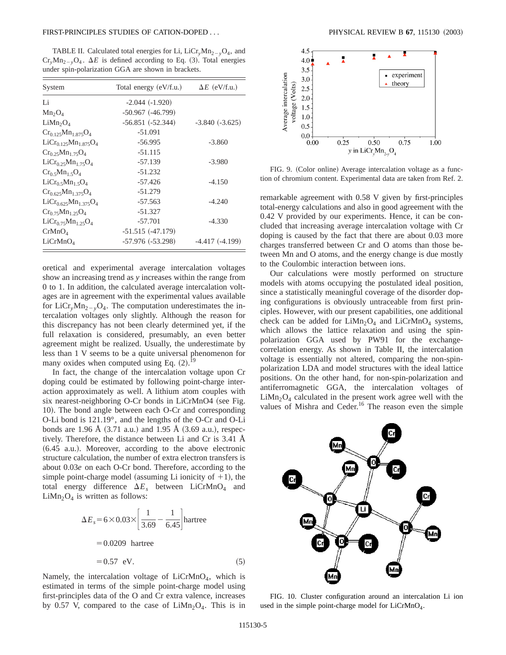## FIRST-PRINCIPLES STUDIES OF CATION-DOPED . . . PHYSICAL REVIEW B **67**, 115130 ~2003!

TABLE II. Calculated total energies for Li,  $LiCr_vMn_{2-v}O_4$ , and  $Cr_vMn_{2-v}O_4$ .  $\Delta E$  is defined according to Eq. (3). Total energies under spin-polarization GGA are shown in brackets.

| System                           | Total energy (eV/f.u.) | $\Delta E$ (eV/f.u.) |
|----------------------------------|------------------------|----------------------|
| Li                               | $-2.044(-1.920)$       |                      |
| $Mn_2O_4$                        | $-50.967$ $(-46.799)$  |                      |
| LiMn <sub>2</sub> O <sub>4</sub> | $-56.851(-52.344)$     | $-3.840(-3.625)$     |
| $Cr_{0.125}Mn_{1.875}O_4$        | $-51.091$              |                      |
| $LiCr_{0.125}Mn_{1.875}O_4$      | $-56.995$              | $-3.860$             |
| $Cr_{0.25}Mn_{1.75}O_4$          | $-51.115$              |                      |
| $LiCr_{0.25}Mn_{1.75}O_4$        | $-57.139$              | $-3.980$             |
| $Cr_0$ 5 $Mn_1$ 5 $O_4$          | $-51.232$              |                      |
| $LiCr_{0.5}Mn_{1.5}O_4$          | $-57.426$              | $-4.150$             |
| $Cr_{0.625}Mn_{1.375}O_4$        | $-51.279$              |                      |
| $LiCr_{0.625}Mn_{1.375}O_4$      | $-57.563$              | $-4.240$             |
| $Cr_{0.75}Mn_{1.25}O_4$          | $-51.327$              |                      |
| $LiCr_{0.75}Mn_{1.25}O_4$        | $-57.701$              | $-4.330$             |
| CrMnO <sub>4</sub>               | $-51.515(-47.179)$     |                      |
| LiCrMnO <sub>4</sub>             | $-57.976(-53.298)$     | $-4.417(-4.199)$     |

oretical and experimental average intercalation voltages show an increasing trend as *y* increases within the range from 0 to 1. In addition, the calculated average intercalation voltages are in agreement with the experimental values available for LiCr<sub>y</sub>Mn<sub>2</sub><sub>-y</sub>O<sub>4</sub>. The computation underestimates the intercalation voltages only slightly. Although the reason for this discrepancy has not been clearly determined yet, if the full relaxation is considered, presumably, an even better agreement might be realized. Usually, the underestimate by less than 1 V seems to be a quite universal phenomenon for many oxides when computed using Eq.  $(2)$ .<sup>19</sup>

In fact, the change of the intercalation voltage upon Cr doping could be estimated by following point-charge interaction approximately as well. A lithium atom couples with six nearest-neighboring O-Cr bonds in LiCrMnO4 (see Fig. 10). The bond angle between each O-Cr and corresponding O-Li bond is 121.19°, and the lengths of the O-Cr and O-Li bonds are 1.96 Å  $(3.71 \text{ a.u.})$  and 1.95 Å  $(3.69 \text{ a.u.})$ , respectively. Therefore, the distance between Li and Cr is 3.41 Å  $(6.45$  a.u.). Moreover, according to the above electronic structure calculation, the number of extra electron transfers is about 0.03*e* on each O-Cr bond. Therefore, according to the simple point-charge model (assuming Li ionicity of  $+1$ ), the total energy difference  $\Delta E_s$  between LiCrMnO<sub>4</sub> and  $LiMn<sub>2</sub>O<sub>4</sub>$  is written as follows:

$$
\Delta E_s = 6 \times 0.03 \times \left[ \frac{1}{3.69} - \frac{1}{6.45} \right]
$$
hartree  
= 0.0209 hartree  
= 0.57 eV. (5)

Namely, the intercalation voltage of  $LiCrMnO<sub>4</sub>$ , which is estimated in terms of the simple point-charge model using first-principles data of the O and Cr extra valence, increases by 0.57 V, compared to the case of  $LiMn<sub>2</sub>O<sub>4</sub>$ . This is in



FIG. 9. (Color online) Average intercalation voltage as a function of chromium content. Experimental data are taken from Ref. 2.

remarkable agreement with 0.58 V given by first-principles total-energy calculations and also in good agreement with the 0.42 V provided by our experiments. Hence, it can be concluded that increasing average intercalation voltage with Cr doping is caused by the fact that there are about 0.03 more charges transferred between Cr and O atoms than those between Mn and O atoms, and the energy change is due mostly to the Coulombic interaction between ions.

Our calculations were mostly performed on structure models with atoms occupying the postulated ideal position, since a statistically meaningful coverage of the disorder doping configurations is obviously untraceable from first principles. However, with our present capabilities, one additional check can be added for  $LiMn<sub>2</sub>O<sub>4</sub>$  and  $LiCrMnO<sub>4</sub>$  systems, which allows the lattice relaxation and using the spinpolarization GGA used by PW91 for the exchangecorrelation energy. As shown in Table II, the intercalation voltage is essentially not altered, comparing the non-spinpolarization LDA and model structures with the ideal lattice positions. On the other hand, for non-spin-polarization and antiferromagnetic GGA, the intercalation voltages of  $LiMn<sub>2</sub>O<sub>4</sub>$  calculated in the present work agree well with the values of Mishra and Ceder.<sup>16</sup> The reason even the simple



FIG. 10. Cluster configuration around an intercalation Li ion used in the simple point-charge model for  $LiCrMnO<sub>4</sub>$ .